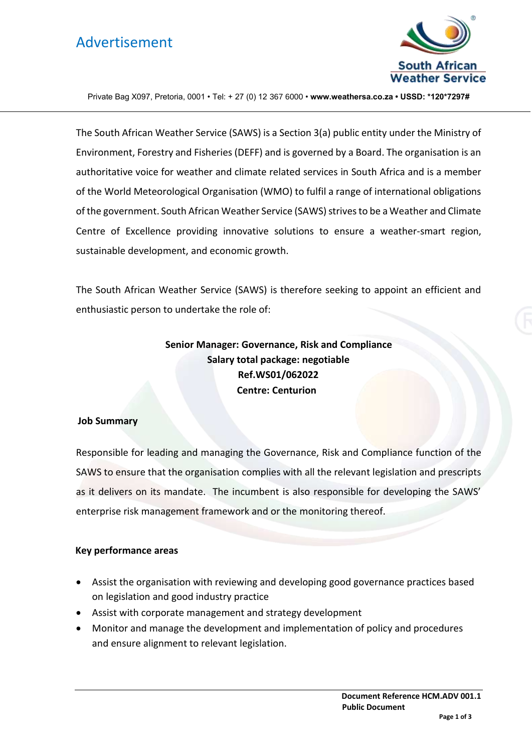## Advertisement



Private Bag X097, Pretoria, 0001 • Tel: + 27 (0) 12 367 6000 • **www.weathersa.co.za • USSD: \*120\*7297#**

The South African Weather Service (SAWS) is a Section 3(a) public entity under the Ministry of Environment, Forestry and Fisheries (DEFF) and is governed by a Board. The organisation is an authoritative voice for weather and climate related services in South Africa and is a member of the World Meteorological Organisation (WMO) to fulfil a range of international obligations of the government. South African Weather Service (SAWS) strives to be a Weather and Climate Centre of Excellence providing innovative solutions to ensure a weather-smart region, sustainable development, and economic growth.

The South African Weather Service (SAWS) is therefore seeking to appoint an efficient and enthusiastic person to undertake the role of:

> **Senior Manager: Governance, Risk and Compliance Salary total package: negotiable Ref.WS01/062022 Centre: Centurion**

#### **Job Summary**

Responsible for leading and managing the Governance, Risk and Compliance function of the SAWS to ensure that the organisation complies with all the relevant legislation and prescripts as it delivers on its mandate. The incumbent is also responsible for developing the SAWS' enterprise risk management framework and or the monitoring thereof.

#### **Key performance areas**

- Assist the organisation with reviewing and developing good governance practices based on legislation and good industry practice
- Assist with corporate management and strategy development
- Monitor and manage the development and implementation of policy and procedures and ensure alignment to relevant legislation.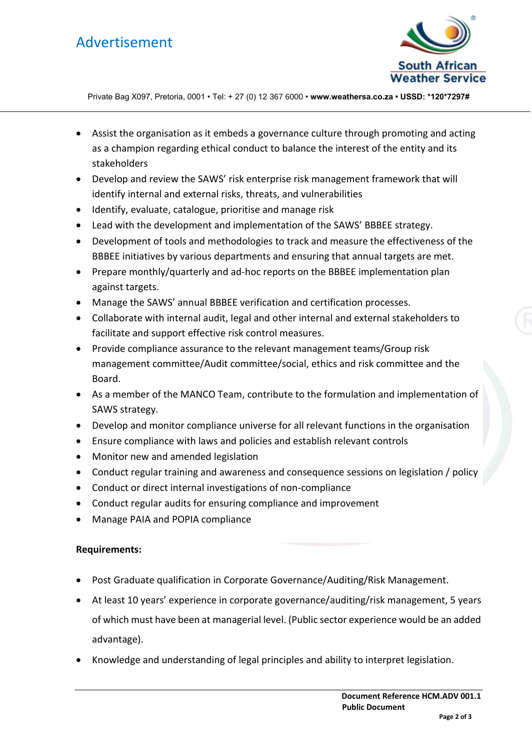# Advertisement



Private Bag X097, Pretoria, 0001 • Tel: + 27 (0) 12 367 6000 • **www.weathersa.co.za • USSD: \*120\*7297#**

- Assist the organisation as it embeds a governance culture through promoting and acting as a champion regarding ethical conduct to balance the interest of the entity and its stakeholders
- Develop and review the SAWS' risk enterprise risk management framework that will identify internal and external risks, threats, and vulnerabilities
- Identify, evaluate, catalogue, prioritise and manage risk
- Lead with the development and implementation of the SAWS' BBBEE strategy.
- Development of tools and methodologies to track and measure the effectiveness of the BBBEE initiatives by various departments and ensuring that annual targets are met.
- Prepare monthly/quarterly and ad-hoc reports on the BBBEE implementation plan against targets.
- Manage the SAWS' annual BBBEE verification and certification processes.
- Collaborate with internal audit, legal and other internal and external stakeholders to facilitate and support effective risk control measures.
- Provide compliance assurance to the relevant management teams/Group risk management committee/Audit committee/social, ethics and risk committee and the Board.
- As a member of the MANCO Team, contribute to the formulation and implementation of SAWS strategy.
- Develop and monitor compliance universe for all relevant functions in the organisation
- Ensure compliance with laws and policies and establish relevant controls
- Monitor new and amended legislation
- Conduct regular training and awareness and consequence sessions on legislation / policy
- Conduct or direct internal investigations of non-compliance
- Conduct regular audits for ensuring compliance and improvement
- Manage PAIA and POPIA compliance

### **Requirements:**

- Post Graduate qualification in Corporate Governance/Auditing/Risk Management.
- At least 10 years' experience in corporate governance/auditing/risk management, 5 years of which must have been at managerial level. (Public sector experience would be an added advantage).
- Knowledge and understanding of legal principles and ability to interpret legislation.